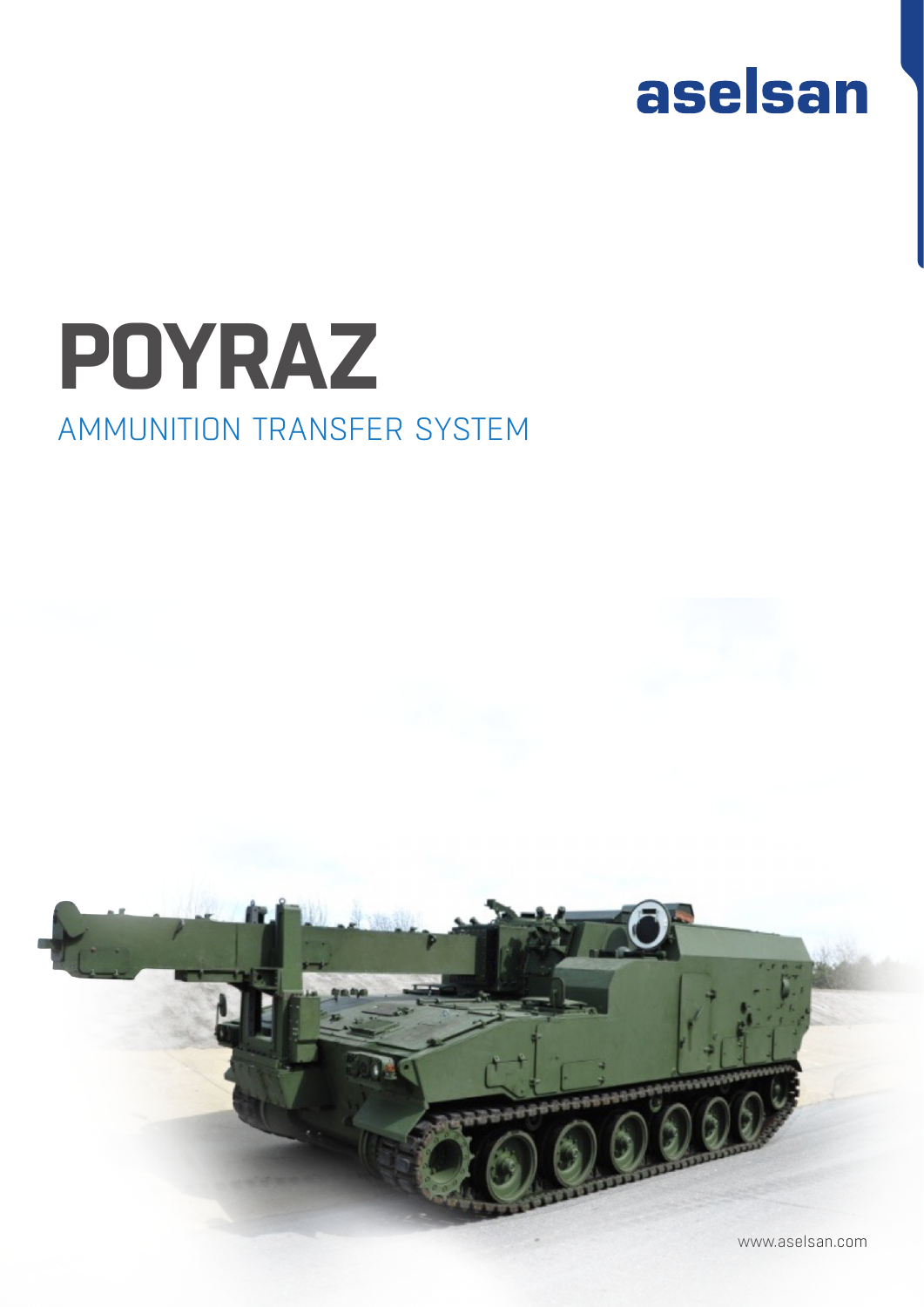

## AMMUNITION TRANSFER SYSTEM **POYRAZ**